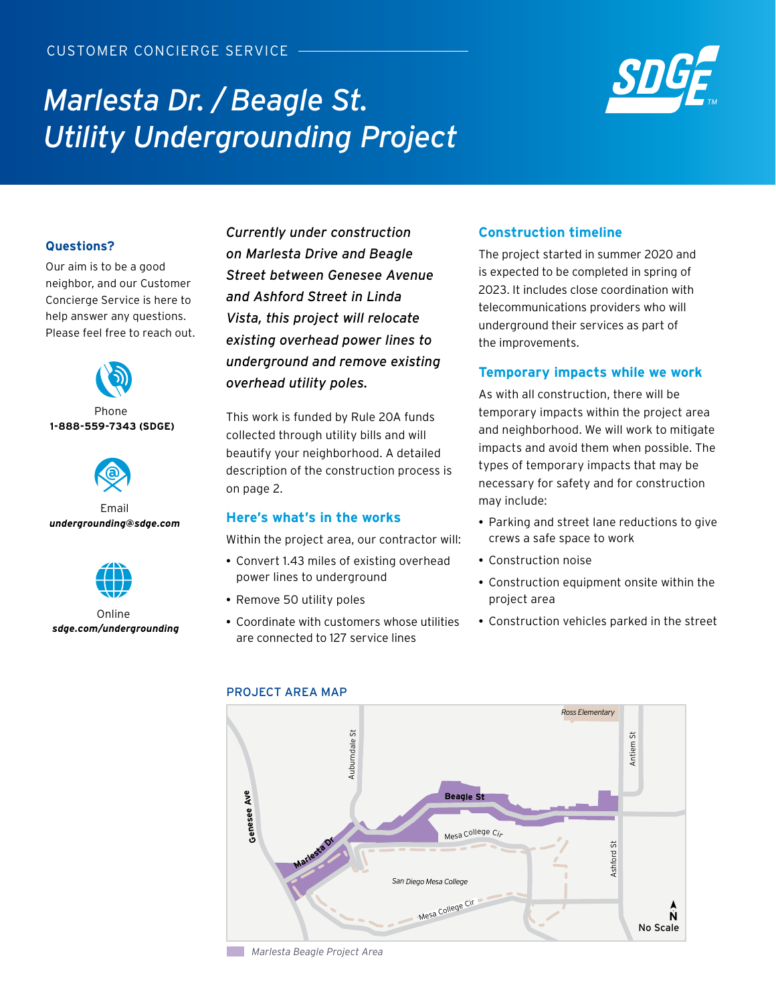# *Marlesta Dr. / Beagle St. Utility Undergrounding Project*



## **Questions?**

Our aim is to be a good neighbor, and our Customer Concierge Service is here to help answer any questions. Please feel free to reach out.



### Phone **1-888-559-7343 (SDGE)**



Email *undergrounding@sdge.com*



 Online *sdge.com/undergrounding*

*Currently under construction on Marlesta Drive and Beagle Street between Genesee Avenue and Ashford Street in Linda Vista, this project will relocate existing overhead power lines to underground and remove existing overhead utility poles.* 

This work is funded by Rule 20A funds collected through utility bills and will beautify your neighborhood. A detailed description of the construction process is on page 2.

# **Here's what's in the works**

Within the project area, our contractor will:

- Convert 1.43 miles of existing overhead power lines to underground
- Remove 50 utility poles
- Coordinate with customers whose utilities are connected to 127 service lines

# **Construction timeline**

The project started in summer 2020 and is expected to be completed in spring of 2023. It includes close coordination with telecommunications providers who will underground their services as part of the improvements.

# **Temporary impacts while we work**

As with all construction, there will be temporary impacts within the project area and neighborhood. We will work to mitigate impacts and avoid them when possible. The types of temporary impacts that may be necessary for safety and for construction may include:

- Parking and street lane reductions to give crews a safe space to work
- Construction noise
- Construction equipment onsite within the project area
- Construction vehicles parked in the street



### PROJECT AREA MAP

 *Marlesta Beagle Project Area*